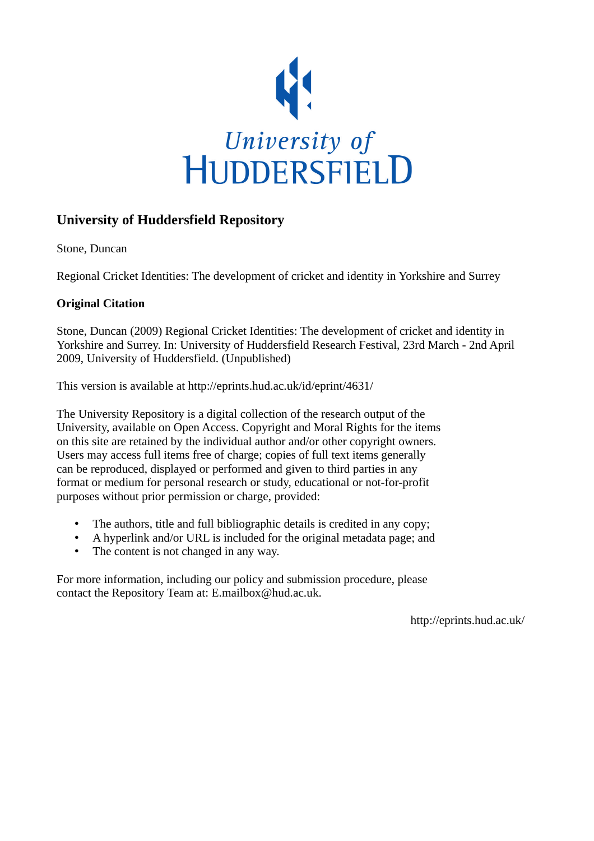

## **University of Huddersfield Repository**

Stone, Duncan

Regional Cricket Identities: The development of cricket and identity in Yorkshire and Surrey

## **Original Citation**

Stone, Duncan (2009) Regional Cricket Identities: The development of cricket and identity in Yorkshire and Surrey. In: University of Huddersfield Research Festival, 23rd March - 2nd April 2009, University of Huddersfield. (Unpublished)

This version is available at http://eprints.hud.ac.uk/id/eprint/4631/

The University Repository is a digital collection of the research output of the University, available on Open Access. Copyright and Moral Rights for the items on this site are retained by the individual author and/or other copyright owners. Users may access full items free of charge; copies of full text items generally can be reproduced, displayed or performed and given to third parties in any format or medium for personal research or study, educational or not-for-profit purposes without prior permission or charge, provided:

- The authors, title and full bibliographic details is credited in any copy;
- A hyperlink and/or URL is included for the original metadata page; and
- The content is not changed in any way.

For more information, including our policy and submission procedure, please contact the Repository Team at: E.mailbox@hud.ac.uk.

http://eprints.hud.ac.uk/